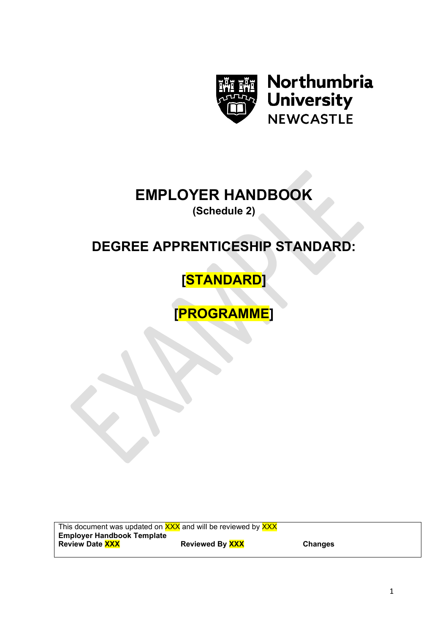

Northumbria **University NEWCASTLE** 

# **EMPLOYER HANDBOOK**

**(Schedule 2)**

# **DEGREE APPRENTICESHIP STANDARD:**

# **[STANDARD]**

**[PROGRAMME]**

This document was updated on **XXX** and will be reviewed by **XXX Employer Handbook Template Reviewed By XXX Changes**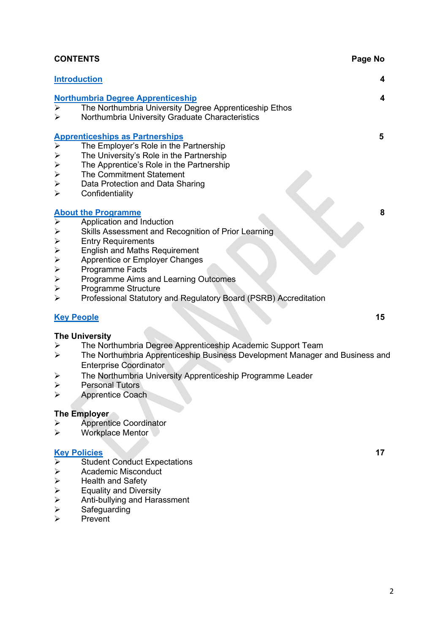|                             | <b>CONTENTS</b>                                                                                             | Page No |
|-----------------------------|-------------------------------------------------------------------------------------------------------------|---------|
|                             | <b>Introduction</b>                                                                                         | 4       |
|                             | <b>Northumbria Degree Apprenticeship</b>                                                                    | 4       |
| $\blacktriangleright$       | The Northumbria University Degree Apprenticeship Ethos                                                      |         |
| $\blacktriangleright$       | Northumbria University Graduate Characteristics                                                             |         |
|                             |                                                                                                             | 5       |
|                             | Apprenticeships as Partnerships<br>> The Employer's Role in the I<br>The Employer's Role in the Partnership |         |
| $\blacktriangleright$       | The University's Role in the Partnership                                                                    |         |
| $\blacktriangleright$       | The Apprentice's Role in the Partnership                                                                    |         |
| $\blacktriangleright$       | The Commitment Statement                                                                                    |         |
| $\blacktriangleright$       | Data Protection and Data Sharing                                                                            |         |
| $\blacktriangleright$       | Confidentiality                                                                                             |         |
|                             | <b>About the Programme</b>                                                                                  | 8       |
| $\overline{\triangleright}$ | Application and Induction                                                                                   |         |
| $\blacktriangleright$       | Skills Assessment and Recognition of Prior Learning                                                         |         |
|                             | <b>Entry Requirements</b>                                                                                   |         |
|                             | <b>English and Maths Requirement</b>                                                                        |         |
| $\Delta$ $\Delta$ $\Delta$  | Apprentice or Employer Changes                                                                              |         |
| $\blacktriangleright$       | Programme Facts                                                                                             |         |
| $\blacktriangleright$       | Programme Aims and Learning Outcomes                                                                        |         |
| $\blacktriangleright$       | Programme Structure                                                                                         |         |
| $\blacktriangleright$       | Professional Statutory and Regulatory Board (PSRB) Accreditation                                            |         |
| <b>Key People</b>           |                                                                                                             | 15      |
| The University              |                                                                                                             |         |

- > The Northumbria Degree Apprenticeship Academic Support Team<br>> The Northumbria Apprenticeship Business Development Manager
- The Northumbria Apprenticeship Business Development Manager and Business and The Northumbria Apprenticeship Business Development Manager and Business and Enterprise Coordinator
- > The Northumbria University Apprenticeship Programme Leader<br>> Personal Tutors
- > Personal Tutors<br>> Apprentice Coac
- Apprentice Coach

#### **The Employer**

- $\triangleright$  Apprentice Coordinator
- Workplace Mentor

#### **[Key Policies](#page-13-0) 17**

- $\overline{\smash{\triangleright}}$  Student Conduct Expectations<br>  $\overline{\smash{\triangleright}}$  Academic Misconduct
- 
- Health and Safety
- Equality and Diversity
- → Academic Misconduct<br>
→ Health and Safety<br>
→ Equality and Diversity<br>
→ Anti-bullying and Haras<br>
→ Safeguarding Anti-bullying and Harassment
- $\triangleright$  Safeguarding<br> $\triangleright$  Prevent
- Prevent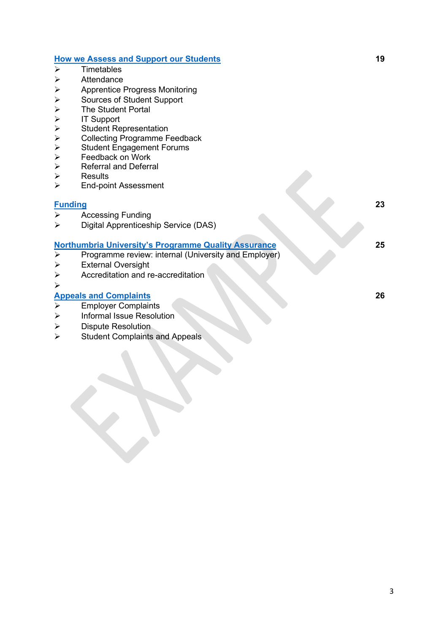#### **[How we Assess and Support our Students](#page-15-0) 19**

- $\triangleright$  Timetables
- Attendance<br>
> Apprentice I
- Apprentice Progress Monitoring
- 
- The Student Portal
- IT Support
- Student Representation
- Collecting Programme Feedback
- → Sources of Student Support<br>
→ The Student Portal<br>
→ IT Support<br>
→ Student Representation<br>
→ Collecting Programme Feed<br>
→ Student Engagement Forum<br>
→ Feedback on Work<br>
→ Referral and Deferral Student Engagement Forums
- Feedback on Work
- Referral and Deferral
- $\triangleright$  Results<br> $\triangleright$  Fnd-noi
- End-point Assessment

#### **[Funding](#page-19-0) 23**

- $\triangleright$  Accessing Funding
- Digital Apprenticeship Service (DAS)

#### **[Northumbria University's Programme Quality Assurance](#page-21-0) 25**

- $\triangleright$  Programme review: internal (University and Employer)
- External Oversight
- Accreditation and re-accreditation
- $\blacktriangleright$

# **[Appeals and Complaints](#page-22-0) 26**

- Employer Complaints
- $\triangleright$  Informal Issue Resolution
- > Dispute Resolution
- $\triangleright$  Student Complaints and Appeals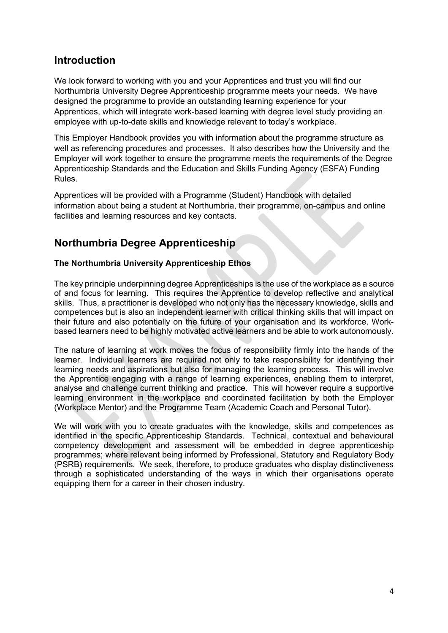## <span id="page-3-0"></span>**Introduction**

We look forward to working with you and your Apprentices and trust you will find our Northumbria University Degree Apprenticeship programme meets your needs. We have designed the programme to provide an outstanding learning experience for your Apprentices, which will integrate work-based learning with degree level study providing an employee with up-to-date skills and knowledge relevant to today's workplace.

This Employer Handbook provides you with information about the programme structure as well as referencing procedures and processes. It also describes how the University and the Employer will work together to ensure the programme meets the requirements of the Degree Apprenticeship Standards and the Education and Skills Funding Agency (ESFA) Funding Rules.

Apprentices will be provided with a Programme (Student) Handbook with detailed information about being a student at Northumbria, their programme, on-campus and online facilities and learning resources and key contacts.

# <span id="page-3-1"></span>**Northumbria Degree Apprenticeship**

#### **The Northumbria University Apprenticeship Ethos**

The key principle underpinning degree Apprenticeships is the use of the workplace as a source of and focus for learning. This requires the Apprentice to develop reflective and analytical skills. Thus, a practitioner is developed who not only has the necessary knowledge, skills and competences but is also an independent learner with critical thinking skills that will impact on their future and also potentially on the future of your organisation and its workforce. Workbased learners need to be highly motivated active learners and be able to work autonomously.

The nature of learning at work moves the focus of responsibility firmly into the hands of the learner. Individual learners are required not only to take responsibility for identifying their learning needs and aspirations but also for managing the learning process. This will involve the Apprentice engaging with a range of learning experiences, enabling them to interpret, analyse and challenge current thinking and practice. This will however require a supportive learning environment in the workplace and coordinated facilitation by both the Employer (Workplace Mentor) and the Programme Team (Academic Coach and Personal Tutor).

We will work with you to create graduates with the knowledge, skills and competences as identified in the specific Apprenticeship Standards. Technical, contextual and behavioural competency development and assessment will be embedded in degree apprenticeship programmes; where relevant being informed by Professional, Statutory and Regulatory Body (PSRB) requirements. We seek, therefore, to produce graduates who display distinctiveness through a sophisticated understanding of the ways in which their organisations operate equipping them for a career in their chosen industry.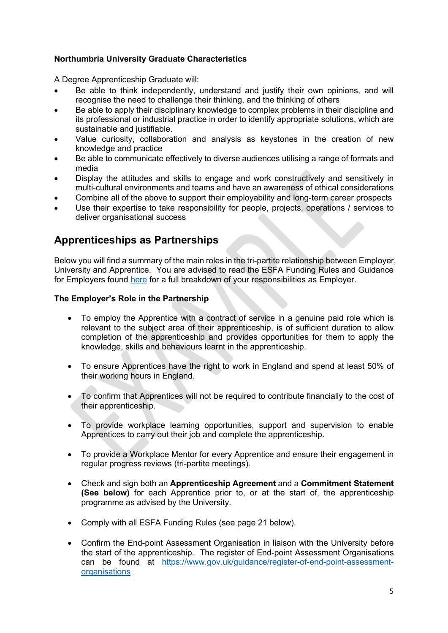#### **Northumbria University Graduate Characteristics**

A Degree Apprenticeship Graduate will:

- Be able to think independently, understand and justify their own opinions, and will recognise the need to challenge their thinking, and the thinking of others
- Be able to apply their disciplinary knowledge to complex problems in their discipline and its professional or industrial practice in order to identify appropriate solutions, which are sustainable and justifiable.
- Value curiosity, collaboration and analysis as keystones in the creation of new knowledge and practice
- Be able to communicate effectively to diverse audiences utilising a range of formats and media
- Display the attitudes and skills to engage and work constructively and sensitively in multi-cultural environments and teams and have an awareness of ethical considerations
- Combine all of the above to support their employability and long-term career prospects
- Use their expertise to take responsibility for people, projects, operations / services to deliver organisational success

## <span id="page-4-0"></span>**Apprenticeships as Partnerships**

Below you will find a summary of the main roles in the tri-partite relationship between Employer, University and Apprentice. You are advised to read the ESFA Funding Rules and Guidance for Employers found [here](https://assets.publishing.service.gov.uk/government/uploads/system/uploads/attachment_data/file/905352/2021_Employer_Rules_Version_1_v1.0_FINAL.pdf) for a full breakdown of your responsibilities as Employer.

#### **The Employer's Role in the Partnership**

- To employ the Apprentice with a contract of service in a genuine paid role which is relevant to the subject area of their apprenticeship, is of sufficient duration to allow completion of the apprenticeship and provides opportunities for them to apply the knowledge, skills and behaviours learnt in the apprenticeship.
- To ensure Apprentices have the right to work in England and spend at least 50% of their working hours in England.
- To confirm that Apprentices will not be required to contribute financially to the cost of their apprenticeship.
- To provide workplace learning opportunities, support and supervision to enable Apprentices to carry out their job and complete the apprenticeship.
- To provide a Workplace Mentor for every Apprentice and ensure their engagement in regular progress reviews (tri-partite meetings).
- Check and sign both an **Apprenticeship Agreement** and a **Commitment Statement (See below)** for each Apprentice prior to, or at the start of, the apprenticeship programme as advised by the University.
- Comply with all ESFA Funding Rules (see page 21 below).
- Confirm the End-point Assessment Organisation in liaison with the University before the start of the apprenticeship. The register of End-point Assessment Organisations can be found at [https://www.gov.uk/guidance/register-of-end-point-assessment](https://www.gov.uk/guidance/register-of-end-point-assessment-organisations)[organisations](https://www.gov.uk/guidance/register-of-end-point-assessment-organisations)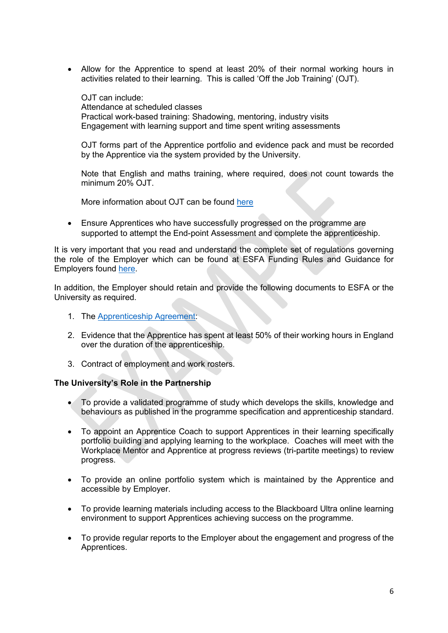• Allow for the Apprentice to spend at least 20% of their normal working hours in activities related to their learning. This is called 'Off the Job Training' (OJT).

OJT can include: Attendance at scheduled classes Practical work-based training: Shadowing, mentoring, industry visits Engagement with learning support and time spent writing assessments

OJT forms part of the Apprentice portfolio and evidence pack and must be recorded by the Apprentice via the system provided by the University.

Note that English and maths training, where required, does not count towards the minimum 20% OJT.

More information about OJT can be found [here](https://assets.publishing.service.gov.uk/government/uploads/system/uploads/attachment_data/file/792228/OTJ_training_guidancev2_reissued_.pdf)

• Ensure Apprentices who have successfully progressed on the programme are supported to attempt the End-point Assessment and complete the apprenticeship.

It is very important that you read and understand the complete set of regulations governing the role of the Employer which can be found at ESFA Funding Rules and Guidance for Employers found [here.](https://assets.publishing.service.gov.uk/government/uploads/system/uploads/attachment_data/file/905352/2021_Employer_Rules_Version_1_v1.0_FINAL.pdf)

In addition, the Employer should retain and provide the following documents to ESFA or the University as required.

- 1. The [Apprenticeship Agreement:](https://www.gov.uk/government/publications/apprenticeship-agreement-template)
- 2. Evidence that the Apprentice has spent at least 50% of their working hours in England over the duration of the apprenticeship.
- 3. Contract of employment and work rosters.

#### **The University's Role in the Partnership**

- To provide a validated programme of study which develops the skills, knowledge and behaviours as published in the programme specification and apprenticeship standard.
- To appoint an Apprentice Coach to support Apprentices in their learning specifically portfolio building and applying learning to the workplace. Coaches will meet with the Workplace Mentor and Apprentice at progress reviews (tri-partite meetings) to review progress.
- To provide an online portfolio system which is maintained by the Apprentice and accessible by Employer.
- To provide learning materials including access to the Blackboard Ultra online learning environment to support Apprentices achieving success on the programme.
- To provide regular reports to the Employer about the engagement and progress of the Apprentices.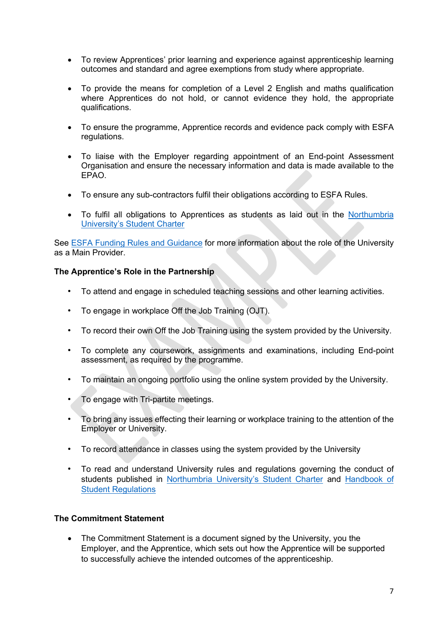- To review Apprentices' prior learning and experience against apprenticeship learning outcomes and standard and agree exemptions from study where appropriate.
- To provide the means for completion of a Level 2 English and maths qualification where Apprentices do not hold, or cannot evidence they hold, the appropriate qualifications.
- To ensure the programme, Apprentice records and evidence pack comply with ESFA regulations.
- To liaise with the Employer regarding appointment of an End-point Assessment Organisation and ensure the necessary information and data is made available to the EPAO.
- To ensure any sub-contractors fulfil their obligations according to ESFA Rules.
- To fulfil all obligations to Apprentices as students as laid out in the [Northumbria](https://www.northumbria.ac.uk/about-us/student-charter/)  [University's Student Charter](https://www.northumbria.ac.uk/about-us/student-charter/)

See ESFA [Funding Rules and Guidance](https://assets.publishing.service.gov.uk/government/uploads/system/uploads/attachment_data/file/905348/2021_Provider_Rules_Version_1_v1.0_FINAL.pdf) for more information about the role of the University as a Main Provider.

#### **The Apprentice's Role in the Partnership**

- To attend and engage in scheduled teaching sessions and other learning activities.
- To engage in workplace Off the Job Training (OJT).
- To record their own Off the Job Training using the system provided by the University.
- To complete any coursework, assignments and examinations, including End-point assessment, as required by the programme.
- To maintain an ongoing portfolio using the online system provided by the University.
- To engage with Tri-partite meetings.
- To bring any issues effecting their learning or workplace training to the attention of the Employer or University.
- To record attendance in classes using the system provided by the University
- To read and understand University rules and regulations governing the conduct of students published in [Northumbria University's Student Charter](https://www.northumbria.ac.uk/about-us/student-charter/) and [Handbook of](https://www.northumbria.ac.uk/about-us/leadership-governance/vice-chancellors-office/legal-services-team/handbook-of-student-regulations/)  [Student Regulations](https://www.northumbria.ac.uk/about-us/leadership-governance/vice-chancellors-office/legal-services-team/handbook-of-student-regulations/)

#### **The Commitment Statement**

• The Commitment Statement is a document signed by the University, you the Employer, and the Apprentice, which sets out how the Apprentice will be supported to successfully achieve the intended outcomes of the apprenticeship.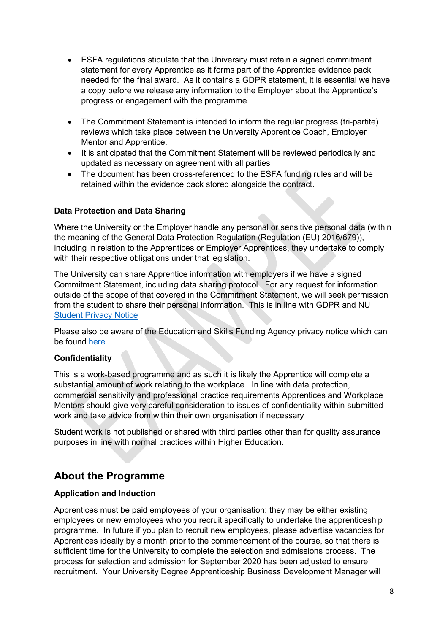- ESFA regulations stipulate that the University must retain a signed commitment statement for every Apprentice as it forms part of the Apprentice evidence pack needed for the final award. As it contains a GDPR statement, it is essential we have a copy before we release any information to the Employer about the Apprentice's progress or engagement with the programme.
- The Commitment Statement is intended to inform the regular progress (tri-partite) reviews which take place between the University Apprentice Coach, Employer Mentor and Apprentice.
- It is anticipated that the Commitment Statement will be reviewed periodically and updated as necessary on agreement with all parties
- The document has been cross-referenced to the ESFA funding rules and will be retained within the evidence pack stored alongside the contract.

#### **Data Protection and Data Sharing**

Where the University or the Employer handle any personal or sensitive personal data (within the meaning of the General Data Protection Regulation (Regulation (EU) 2016/679)), including in relation to the Apprentices or Employer Apprentices, they undertake to comply with their respective obligations under that legislation.

The University can share Apprentice information with employers if we have a signed Commitment Statement, including data sharing protocol. For any request for information outside of the scope of that covered in the Commitment Statement, we will seek permission from the student to share their personal information. This is in line with GDPR and NU [Student Privacy Notice](https://northumbria-cdn.azureedge.net/-/media/corporate-website/new-sitecore-gallery/services/legal/gdpr/pdf/privnot/2018studentprivacynoticev1,-d-,0updated.pdf?modified=20200807130331)

Please also be aware of the Education and Skills Funding Agency privacy notice which can be found [here.](https://www.gov.uk/government/publications/esfa-privacy-notice/education-and-skills-funding-agency-privacy-notice-may-2018)

#### **Confidentiality**

This is a work-based programme and as such it is likely the Apprentice will complete a substantial amount of work relating to the workplace. In line with data protection, commercial sensitivity and professional practice requirements Apprentices and Workplace Mentors should give very careful consideration to issues of confidentiality within submitted work and take advice from within their own organisation if necessary

Student work is not published or shared with third parties other than for quality assurance purposes in line with normal practices within Higher Education.

### <span id="page-7-0"></span>**About the Programme**

#### **Application and Induction**

Apprentices must be paid employees of your organisation: they may be either existing employees or new employees who you recruit specifically to undertake the apprenticeship programme. In future if you plan to recruit new employees, please advertise vacancies for Apprentices ideally by a month prior to the commencement of the course, so that there is sufficient time for the University to complete the selection and admissions process. The process for selection and admission for September 2020 has been adjusted to ensure recruitment. Your University Degree Apprenticeship Business Development Manager will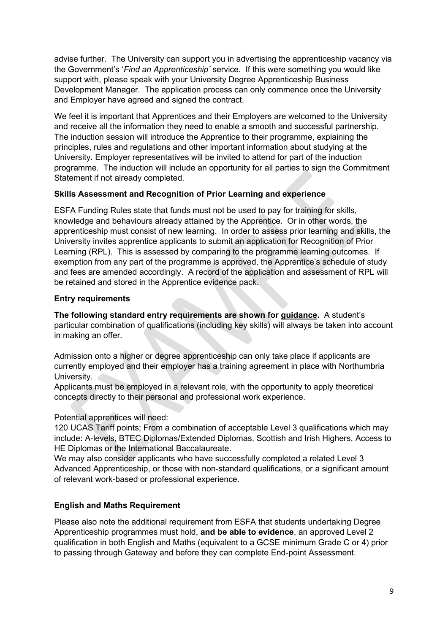advise further. The University can support you in advertising the apprenticeship vacancy via the Government's '*Find an Apprenticeship'* service. If this were something you would like support with, please speak with your University Degree Apprenticeship Business Development Manager. The application process can only commence once the University and Employer have agreed and signed the contract.

We feel it is important that Apprentices and their Employers are welcomed to the University and receive all the information they need to enable a smooth and successful partnership. The induction session will introduce the Apprentice to their programme, explaining the principles, rules and regulations and other important information about studying at the University. Employer representatives will be invited to attend for part of the induction programme. The induction will include an opportunity for all parties to sign the Commitment Statement if not already completed.

#### **Skills Assessment and Recognition of Prior Learning and experience**

ESFA Funding Rules state that funds must not be used to pay for training for skills, knowledge and behaviours already attained by the Apprentice. Or in other words, the apprenticeship must consist of new learning. In order to assess prior learning and skills, the University invites apprentice applicants to submit an application for Recognition of Prior Learning (RPL). This is assessed by comparing to the programme learning outcomes. If exemption from any part of the programme is approved, the Apprentice's schedule of study and fees are amended accordingly. A record of the application and assessment of RPL will be retained and stored in the Apprentice evidence pack.

#### **Entry requirements**

**The following standard entry requirements are shown for guidance.** A student's particular combination of qualifications (including key skills) will always be taken into account in making an offer.

Admission onto a higher or degree apprenticeship can only take place if applicants are currently employed and their employer has a training agreement in place with Northumbria University.

Applicants must be employed in a relevant role, with the opportunity to apply theoretical concepts directly to their personal and professional work experience.

Potential apprentices will need:

120 UCAS Tariff points; From a combination of acceptable Level 3 qualifications which may include: A-levels, BTEC Diplomas/Extended Diplomas, Scottish and Irish Highers, Access to HE Diplomas or the International Baccalaureate.

We may also consider applicants who have successfully completed a related Level 3 Advanced Apprenticeship, or those with non-standard qualifications, or a significant amount of relevant work-based or professional experience.

#### **English and Maths Requirement**

Please also note the additional requirement from ESFA that students undertaking Degree Apprenticeship programmes must hold, **and be able to evidence**, an approved Level 2 qualification in both English and Maths (equivalent to a GCSE minimum Grade C or 4) prior to passing through Gateway and before they can complete End-point Assessment.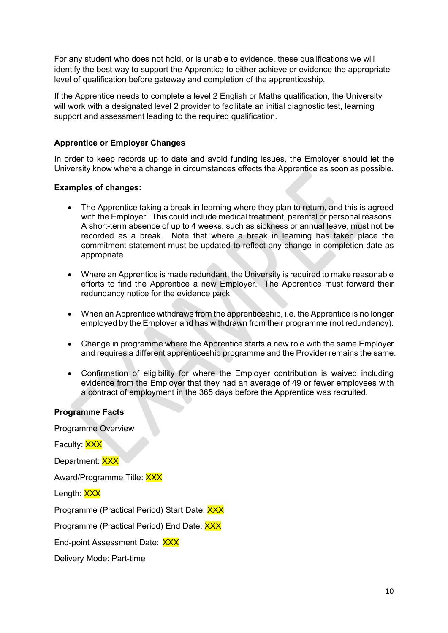For any student who does not hold, or is unable to evidence, these qualifications we will identify the best way to support the Apprentice to either achieve or evidence the appropriate level of qualification before gateway and completion of the apprenticeship.

If the Apprentice needs to complete a level 2 English or Maths qualification, the University will work with a designated level 2 provider to facilitate an initial diagnostic test, learning support and assessment leading to the required qualification.

#### **Apprentice or Employer Changes**

In order to keep records up to date and avoid funding issues, the Employer should let the University know where a change in circumstances effects the Apprentice as soon as possible.

#### **Examples of changes:**

- The Apprentice taking a break in learning where they plan to return, and this is agreed with the Employer. This could include medical treatment, parental or personal reasons. A short-term absence of up to 4 weeks, such as sickness or annual leave, must not be recorded as a break. Note that where a break in learning has taken place the commitment statement must be updated to reflect any change in completion date as appropriate.
- Where an Apprentice is made redundant, the University is required to make reasonable efforts to find the Apprentice a new Employer. The Apprentice must forward their redundancy notice for the evidence pack.
- When an Apprentice withdraws from the apprenticeship, i.e. the Apprentice is no longer employed by the Employer and has withdrawn from their programme (not redundancy).
- Change in programme where the Apprentice starts a new role with the same Employer and requires a different apprenticeship programme and the Provider remains the same.
- Confirmation of eligibility for where the Employer contribution is waived including evidence from the Employer that they had an average of 49 or fewer employees with a contract of employment in the 365 days before the Apprentice was recruited.

#### **Programme Facts**

Programme Overview

Faculty: XXX Department: XXX Award/Programme Title: XXX Length: XXX

Programme (Practical Period) Start Date: XXX

Programme (Practical Period) End Date: XXX

End-point Assessment Date: XXX

Delivery Mode: Part-time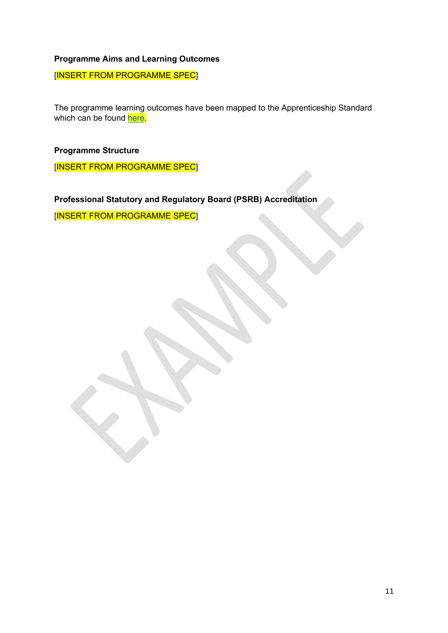#### **Programme Aims and Learning Outcomes**

[INSERT FROM PROGRAMME SPEC]

The programme learning outcomes have been mapped to the Apprenticeship Standard which can be found [here.](https://www.instituteforapprenticeships.org/apprenticeship-standards/chartered-manager-degree/)

**Programme Structure**

[INSERT FROM PROGRAMME SPEC]

**Professional Statutory and Regulatory Board (PSRB) Accreditation**

<span id="page-10-0"></span>[INSERT FROM PROGRAMME SPEC]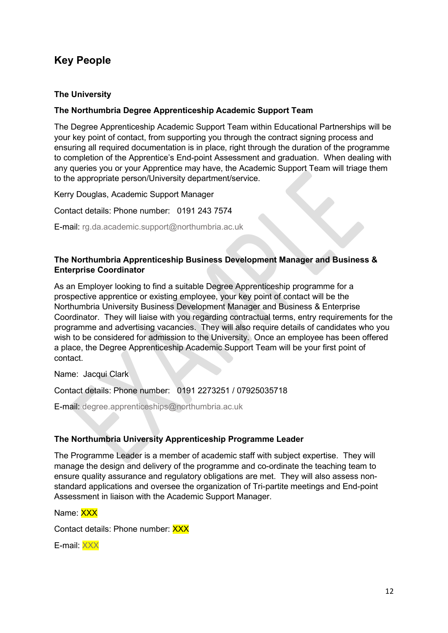# **Key People**

#### **The University**

#### **The Northumbria Degree Apprenticeship Academic Support Team**

The Degree Apprenticeship Academic Support Team within Educational Partnerships will be your key point of contact, from supporting you through the contract signing process and ensuring all required documentation is in place, right through the duration of the programme to completion of the Apprentice's End-point Assessment and graduation. When dealing with any queries you or your Apprentice may have, the Academic Support Team will triage them to the appropriate person/University department/service.

Kerry Douglas, Academic Support Manager

Contact details: Phone number: 0191 243 7574

E-mail: rg.da.academic.support@northumbria.ac.uk

#### **The Northumbria Apprenticeship Business Development Manager and Business & Enterprise Coordinator**

As an Employer looking to find a suitable Degree Apprenticeship programme for a prospective apprentice or existing employee, your key point of contact will be the Northumbria University Business Development Manager and Business & Enterprise Coordinator. They will liaise with you regarding contractual terms, entry requirements for the programme and advertising vacancies. They will also require details of candidates who you wish to be considered for admission to the University. Once an employee has been offered a place, the Degree Apprenticeship Academic Support Team will be your first point of contact.

Name: Jacqui Clark

Contact details: Phone number: 0191 2273251 / 07925035718

E-mail: degree.apprenticeships@northumbria.ac.uk

#### **The Northumbria University Apprenticeship Programme Leader**

The Programme Leader is a member of academic staff with subject expertise. They will manage the design and delivery of the programme and co-ordinate the teaching team to ensure quality assurance and regulatory obligations are met. They will also assess nonstandard applications and oversee the organization of Tri-partite meetings and End-point Assessment in liaison with the Academic Support Manager.

Name: XXX

Contact details: Phone number: XXX

E-mail: XXX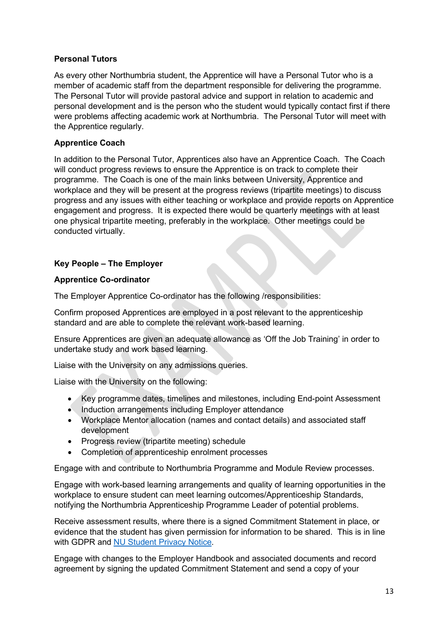#### **Personal Tutors**

As every other Northumbria student, the Apprentice will have a Personal Tutor who is a member of academic staff from the department responsible for delivering the programme. The Personal Tutor will provide pastoral advice and support in relation to academic and personal development and is the person who the student would typically contact first if there were problems affecting academic work at Northumbria. The Personal Tutor will meet with the Apprentice regularly.

#### **Apprentice Coach**

In addition to the Personal Tutor, Apprentices also have an Apprentice Coach. The Coach will conduct progress reviews to ensure the Apprentice is on track to complete their programme. The Coach is one of the main links between University, Apprentice and workplace and they will be present at the progress reviews (tripartite meetings) to discuss progress and any issues with either teaching or workplace and provide reports on Apprentice engagement and progress. It is expected there would be quarterly meetings with at least one physical tripartite meeting, preferably in the workplace. Other meetings could be conducted virtually.

#### **Key People – The Employer**

#### **Apprentice Co-ordinator**

The Employer Apprentice Co-ordinator has the following /responsibilities:

Confirm proposed Apprentices are employed in a post relevant to the apprenticeship standard and are able to complete the relevant work-based learning.

Ensure Apprentices are given an adequate allowance as 'Off the Job Training' in order to undertake study and work based learning.

Liaise with the University on any admissions queries.

Liaise with the University on the following:

- Key programme dates, timelines and milestones, including End-point Assessment
- Induction arrangements including Employer attendance
- Workplace Mentor allocation (names and contact details) and associated staff development
- Progress review (tripartite meeting) schedule
- Completion of apprenticeship enrolment processes

Engage with and contribute to Northumbria Programme and Module Review processes.

Engage with work-based learning arrangements and quality of learning opportunities in the workplace to ensure student can meet learning outcomes/Apprenticeship Standards, notifying the Northumbria Apprenticeship Programme Leader of potential problems.

Receive assessment results, where there is a signed Commitment Statement in place, or evidence that the student has given permission for information to be shared. This is in line with GDPR and [NU Student Privacy Notice.](https://northumbria-cdn.azureedge.net/-/media/corporate-website/new-sitecore-gallery/services/legal/gdpr/pdf/privnot/2018studentprivacynoticev1,-d-,0updated.pdf?modified=20200807130331)

Engage with changes to the Employer Handbook and associated documents and record agreement by signing the updated Commitment Statement and send a copy of your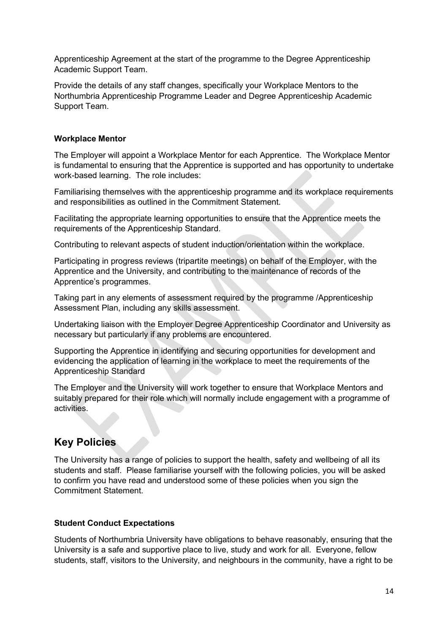Apprenticeship Agreement at the start of the programme to the Degree Apprenticeship Academic Support Team.

Provide the details of any staff changes, specifically your Workplace Mentors to the Northumbria Apprenticeship Programme Leader and Degree Apprenticeship Academic Support Team.

#### **Workplace Mentor**

The Employer will appoint a Workplace Mentor for each Apprentice. The Workplace Mentor is fundamental to ensuring that the Apprentice is supported and has opportunity to undertake work-based learning. The role includes:

Familiarising themselves with the apprenticeship programme and its workplace requirements and responsibilities as outlined in the Commitment Statement.

Facilitating the appropriate learning opportunities to ensure that the Apprentice meets the requirements of the Apprenticeship Standard.

Contributing to relevant aspects of student induction/orientation within the workplace.

Participating in progress reviews (tripartite meetings) on behalf of the Employer, with the Apprentice and the University, and contributing to the maintenance of records of the Apprentice's programmes.

Taking part in any elements of assessment required by the programme /Apprenticeship Assessment Plan, including any skills assessment.

Undertaking liaison with the Employer Degree Apprenticeship Coordinator and University as necessary but particularly if any problems are encountered.

Supporting the Apprentice in identifying and securing opportunities for development and evidencing the application of learning in the workplace to meet the requirements of the Apprenticeship Standard

The Employer and the University will work together to ensure that Workplace Mentors and suitably prepared for their role which will normally include engagement with a programme of activities.

### <span id="page-13-0"></span>**Key Policies**

The University has a range of policies to support the health, safety and wellbeing of all its students and staff. Please familiarise yourself with the following policies, you will be asked to confirm you have read and understood some of these policies when you sign the Commitment Statement.

#### **Student Conduct Expectations**

Students of Northumbria University have obligations to behave reasonably, ensuring that the University is a safe and supportive place to live, study and work for all. Everyone, fellow students, staff, visitors to the University, and neighbours in the community, have a right to be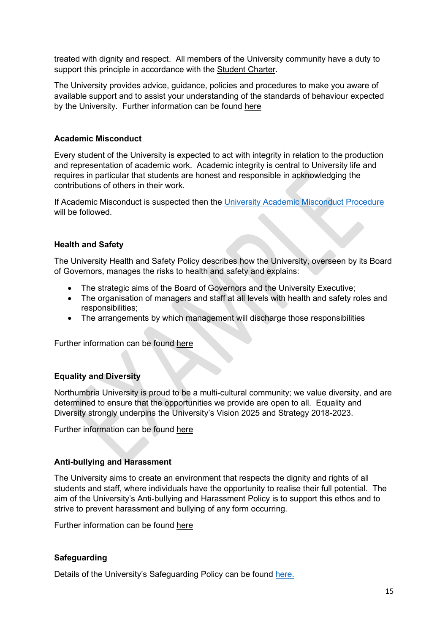treated with dignity and respect. All members of the University community have a duty to support this principle in accordance with the [Student](https://www.northumbria.ac.uk/about-us/student-charter/) Charter.

The University provides advice, guidance, policies and procedures to make you aware of available support and to assist your understanding of the standards of behaviour expected by the University. Further information can be found [here](https://www.northumbria.ac.uk/governance/terms-and-conditions/)

#### **Academic Misconduct**

Every student of the University is expected to act with integrity in relation to the production and representation of academic work. Academic integrity is central to University life and requires in particular that students are honest and responsible in acknowledging the contributions of others in their work.

If Academic Misconduct is suspected then the [University Academic Misconduct Procedure](https://northumbria-cdn.azureedge.net/-/media/corporate-website/new-sitecore-gallery/services/academic-registry/documents/qte/assessment/guidance-for-students/pl,-d-,005-v004-academic-misconduct-policy.pdf?modified=20200804091539) will be followed.

#### **Health and Safety**

The University Health and Safety Policy describes how the University, overseen by its Board of Governors, manages the risks to health and safety and explains:

- The strategic aims of the Board of Governors and the University Executive;
- The organisation of managers and staff at all levels with health and safety roles and responsibilities;
- The arrangements by which management will discharge those responsibilities

Further information can be found [here](https://one.northumbria.ac.uk/service/cs/hs/Pages/home.aspx)

#### **Equality and Diversity**

Northumbria University is proud to be a multi-cultural community; we value diversity, and are determined to ensure that the opportunities we provide are open to all. Equality and Diversity strongly underpins the University's Vision 2025 and Strategy 2018-2023.

Further information can be found [here](https://www.northumbria.ac.uk/about-us/equality-and-diversity/)

#### **Anti-bullying and Harassment**

The University aims to create an environment that respects the dignity and rights of all students and staff, where individuals have the opportunity to realise their full potential. The aim of the University's Anti-bullying and Harassment Policy is to support this ethos and to strive to prevent harassment and bullying of any form occurring.

Further information can be found [here](https://www.northumbria.ac.uk/-/media/corporate-website/new-sitecore-gallery/services/legal/saco/terms-and-conditions/anti-bullying-and-harassment-policy.pdf?la=en&hash=54EBE532FB96ED5D5568BAE21C1CA6BFA39980E3)

#### **Safeguarding**

Details of the University's Safeguarding Policy can be found [here.](https://northumbria-cdn.azureedge.net/-/media/corporate-website/new-sitecore-gallery/services/vco/documents/pdf/policies/aug-2020-safeguarding-policy.pdf?modified=20200811224436)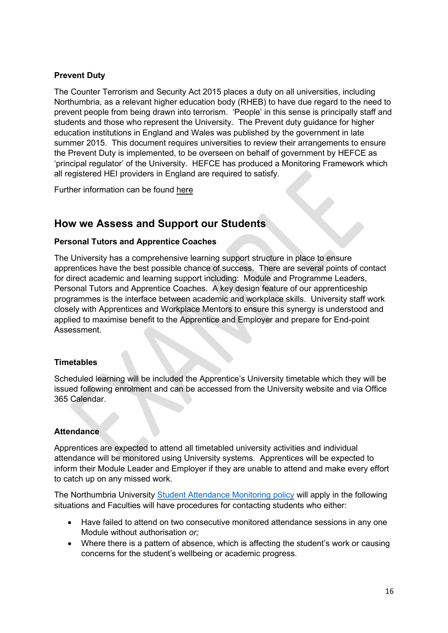#### **Prevent Duty**

The Counter Terrorism and Security Act 2015 places a duty on all universities, including Northumbria, as a relevant higher education body (RHEB) to have due regard to the need to prevent people from being drawn into terrorism. 'People' in this sense is principally staff and students and those who represent the University. The Prevent duty guidance for higher education institutions in England and Wales was published by the government in late summer 2015. This document requires universities to review their arrangements to ensure the Prevent Duty is implemented, to be overseen on behalf of government by HEFCE as 'principal regulator' of the University. HEFCE has produced a Monitoring Framework which all registered HEI providers in England are required to satisfy.

Further information can be found [here](https://northumbria-cdn.azureedge.net/-/media/corporate-website/new-sitecore-gallery/services/vco/documents/pdf/policies/aug-2020-annex-a-version-iii-prevent-duty-policy-statement.pdf?modified=20200811222117)

### <span id="page-15-0"></span>**How we Assess and Support our Students**

#### **Personal Tutors and Apprentice Coaches**

The University has a comprehensive learning support structure in place to ensure apprentices have the best possible chance of success. There are several points of contact for direct academic and learning support including: Module and Programme Leaders, Personal Tutors and Apprentice Coaches. A key design feature of our apprenticeship programmes is the interface between academic and workplace skills. University staff work closely with Apprentices and Workplace Mentors to ensure this synergy is understood and applied to maximise benefit to the Apprentice and Employer and prepare for End-point **Assessment** 

#### **Timetables**

Scheduled learning will be included the Apprentice's University timetable which they will be issued following enrolment and can be accessed from the University website and via Office 365 Calendar.

#### **Attendance**

Apprentices are expected to attend all timetabled university activities and individual attendance will be monitored using University systems. Apprentices will be expected to inform their Module Leader and Employer if they are unable to attend and make every effort to catch up on any missed work.

The Northumbria University [Student Attendance Monitoring policy](https://northumbria-cdn.azureedge.net/-/media/corporate-website/new-sitecore-gallery/services/academic-registry/documents/qte/student-engagement/student-attendance-monitoring-policy-for-2019-20.pdf?modified=20190904143221) will apply in the following situations and Faculties will have procedures for contacting students who either:

- Have failed to attend on two consecutive monitored attendance sessions in any one Module without authorisation *or;*
- Where there is a pattern of absence, which is affecting the student's work or causing concerns for the student's wellbeing or academic progress.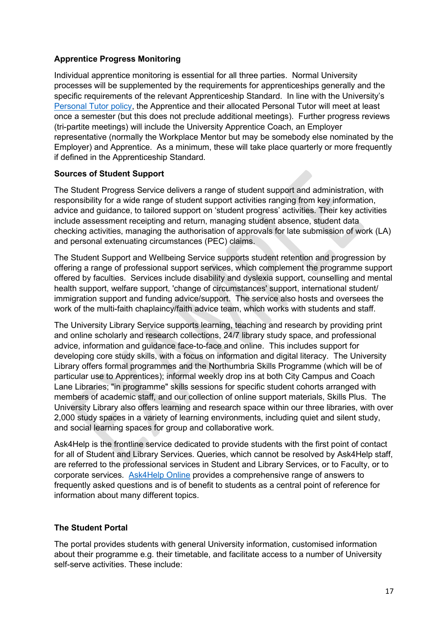#### **Apprentice Progress Monitoring**

Individual apprentice monitoring is essential for all three parties. Normal University processes will be supplemented by the requirements for apprenticeships generally and the specific requirements of the relevant Apprenticeship Standard. In line with the University's [Personal Tutor policy,](https://northumbria-cdn.azureedge.net/-/media/corporate-website/new-sitecore-gallery/services/academic-registry/documents/qte/student-engagement/pl,-d-,027-v003_personal-tutoring-policy.pdf?modified=20191002181930) the Apprentice and their allocated Personal Tutor will meet at least once a semester (but this does not preclude additional meetings). Further progress reviews (tri-partite meetings) will include the University Apprentice Coach, an Employer representative (normally the Workplace Mentor but may be somebody else nominated by the Employer) and Apprentice. As a minimum, these will take place quarterly or more frequently if defined in the Apprenticeship Standard.

#### **Sources of Student Support**

The Student Progress Service delivers a range of student support and administration, with responsibility for a wide range of student support activities ranging from key information, advice and guidance, to tailored support on 'student progress' activities. Their key activities include assessment receipting and return, managing student absence, student data checking activities, managing the authorisation of approvals for late submission of work (LA) and personal extenuating circumstances (PEC) claims.

The Student Support and Wellbeing Service supports student retention and progression by offering a range of professional support services, which complement the programme support offered by faculties. Services include disability and dyslexia support, counselling and mental health support, welfare support, 'change of circumstances' support, international student/ immigration support and funding advice/support. The service also hosts and oversees the work of the multi-faith chaplaincy/faith advice team, which works with students and staff.

The University Library Service supports learning, teaching and research by providing print and online scholarly and research collections, 24/7 library study space, and professional advice, information and guidance face-to-face and online. This includes support for developing core study skills, with a focus on information and digital literacy. The University Library offers formal programmes and the Northumbria Skills Programme (which will be of particular use to Apprentices); informal weekly drop ins at both City Campus and Coach Lane Libraries; "in programme" skills sessions for specific student cohorts arranged with members of academic staff, and our collection of online support materials, Skills Plus. The University Library also offers learning and research space within our three libraries, with over 2,000 study spaces in a variety of learning environments, including quiet and silent study, and social learning spaces for group and collaborative work.

Ask4Help is the frontline service dedicated to provide students with the first point of contact for all of Student and Library Services. Queries, which cannot be resolved by Ask4Help staff, are referred to the professional services in Student and Library Services, or to Faculty, or to corporate services. [Ask4Help Online](http://ask4help.northumbria.ac.uk/) provides a comprehensive range of answers to frequently asked questions and is of benefit to students as a central point of reference for information about many different topics.

#### **The Student Portal**

The portal provides students with general University information, customised information about their programme e.g. their timetable, and facilitate access to a number of University self-serve activities. These include: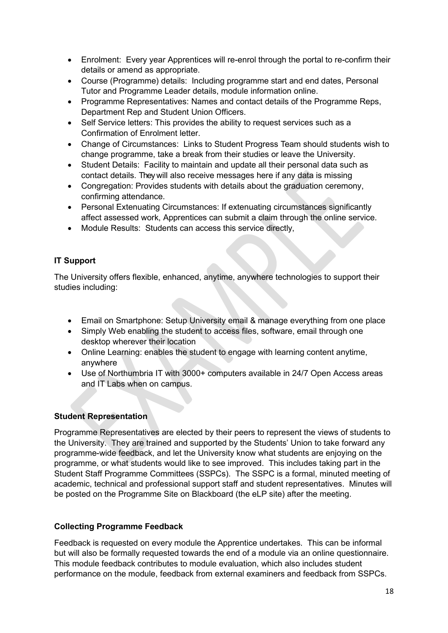- Enrolment: Every year Apprentices will re-enrol through the portal to re-confirm their details or amend as appropriate.
- Course (Programme) details: Including programme start and end dates, Personal Tutor and Programme Leader details, module information online.
- Programme Representatives: Names and contact details of the Programme Reps, Department Rep and Student Union Officers.
- Self Service letters: This provides the ability to request services such as a Confirmation of Enrolment letter.
- Change of Circumstances: Links to Student Progress Team should students wish to change programme, take a break from their studies or leave the University.
- Student Details: Facility to maintain and update all their personal data such as contact details. They will also receive messages here if any data is missing
- Congregation: Provides students with details about the graduation ceremony, confirming attendance.
- Personal Extenuating Circumstances: If extenuating circumstances significantly affect assessed work, Apprentices can submit a claim through the online service.
- Module Results: Students can access this service directly,

#### **IT Support**

The University offers flexible, enhanced, anytime, anywhere technologies to support their studies including:

- Email on Smartphone: Setup University email & manage everything from one place
- Simply Web enabling the student to access files, software, email through one desktop wherever their location
- Online Learning: enables the student to engage with learning content anytime, anywhere
- Use of Northumbria IT with 3000+ computers available in 24/7 Open Access areas and IT Labs when on campus.

#### **Student Representation**

Programme Representatives are elected by their peers to represent the views of students to the University. They are trained and supported by the Students' Union to take forward any programme-wide feedback, and let the University know what students are enjoying on the programme, or what students would like to see improved. This includes taking part in the Student Staff Programme Committees (SSPCs). The SSPC is a formal, minuted meeting of academic, technical and professional support staff and student representatives. Minutes will be posted on the Programme Site on Blackboard (the eLP site) after the meeting.

#### **Collecting Programme Feedback**

Feedback is requested on every module the Apprentice undertakes. This can be informal but will also be formally requested towards the end of a module via an online questionnaire. This module feedback contributes to module evaluation, which also includes student performance on the module, feedback from external examiners and feedback from SSPCs.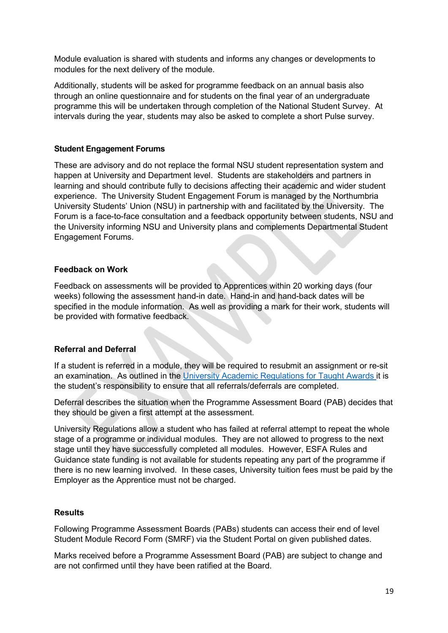Module evaluation is shared with students and informs any changes or developments to modules for the next delivery of the module.

Additionally, students will be asked for programme feedback on an annual basis also through an online questionnaire and for students on the final year of an undergraduate programme this will be undertaken through completion of the National Student Survey. At intervals during the year, students may also be asked to complete a short Pulse survey.

#### **Student Engagement Forums**

These are advisory and do not replace the formal NSU student representation system and happen at University and Department level. Students are stakeholders and partners in learning and should contribute fully to decisions affecting their academic and wider student experience. The University Student Engagement Forum is managed by the Northumbria University Students' Union (NSU) in partnership with and facilitated by the University. The Forum is a face-to-face consultation and a feedback opportunity between students, NSU and the University informing NSU and University plans and complements Departmental Student Engagement Forums.

#### **Feedback on Work**

Feedback on assessments will be provided to Apprentices within 20 working days (four weeks) following the assessment hand-in date. Hand-in and hand-back dates will be specified in the module information. As well as providing a mark for their work, students will be provided with formative feedback.

#### **Referral and Deferral**

If a student is referred in a module, they will be required to resubmit an assignment or re-sit an examination. As outlined in the [University Academic Regulations for Taught Awards i](https://northumbria-cdn.azureedge.net/-/media/corporate-website/new-sitecore-gallery/services/academic-registry/documents/qte/assessment/guidance-for-students/academic-regulations-for-taught-awards-2019-20.pdf?la=en&modified=20191112085903&hash=739B150A76E2586F2F71145D859A465B9A814BF8)t is the student's responsibility to ensure that all referrals/deferrals are completed.

Deferral describes the situation when the Programme Assessment Board (PAB) decides that they should be given a first attempt at the assessment.

University Regulations allow a student who has failed at referral attempt to repeat the whole stage of a programme or individual modules. They are not allowed to progress to the next stage until they have successfully completed all modules. However, ESFA Rules and Guidance state funding is not available for students repeating any part of the programme if there is no new learning involved. In these cases, University tuition fees must be paid by the Employer as the Apprentice must not be charged.

#### **Results**

Following Programme Assessment Boards (PABs) students can access their end of level Student Module Record Form (SMRF) via the Student Portal on given published dates.

Marks received before a Programme Assessment Board (PAB) are subject to change and are not confirmed until they have been ratified at the Board.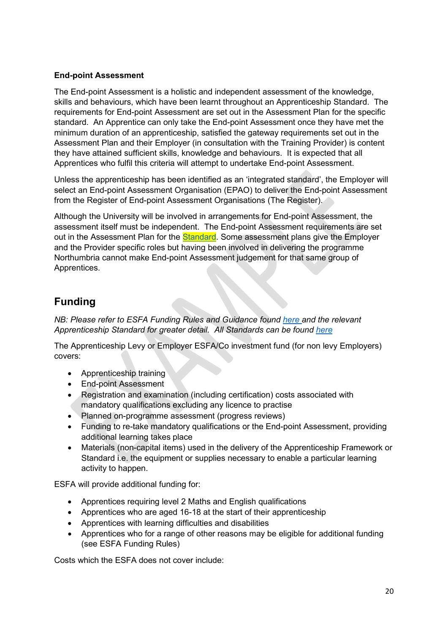#### **End-point Assessment**

The End-point Assessment is a holistic and independent assessment of the knowledge, skills and behaviours, which have been learnt throughout an Apprenticeship Standard. The requirements for End-point Assessment are set out in the Assessment Plan for the specific standard. An Apprentice can only take the End-point Assessment once they have met the minimum duration of an apprenticeship, satisfied the gateway requirements set out in the Assessment Plan and their Employer (in consultation with the Training Provider) is content they have attained sufficient skills, knowledge and behaviours. It is expected that all Apprentices who fulfil this criteria will attempt to undertake End-point Assessment.

Unless the apprenticeship has been identified as an 'integrated standard', the Employer will select an End-point Assessment Organisation (EPAO) to deliver the End-point Assessment from the Register of End-point Assessment Organisations (The Register).

Although the University will be involved in arrangements for End-point Assessment, the assessment itself must be independent. The End-point Assessment requirements are set out in the Assessment Plan for the [Standard.](https://www.instituteforapprenticeships.org/apprenticeship-standards/chartered-manager-degree/) Some assessment plans give the Employer and the Provider specific roles but having been involved in delivering the programme Northumbria cannot make End-point Assessment judgement for that same group of Apprentices.

## <span id="page-19-0"></span>**Funding**

*NB: Please refer to ESFA Funding Rules and Guidance found [here](https://www.gov.uk/guidance/apprenticeship-funding-rules) and the relevant Apprenticeship Standard for greater detail. All Standards can be found [here](https://www.instituteforapprenticeships.org/apprenticeship-standards/)*

The Apprenticeship Levy or Employer ESFA/Co investment fund (for non levy Employers) covers:

- Apprenticeship training
- End-point Assessment
- Registration and examination (including certification) costs associated with mandatory qualifications excluding any licence to practise
- Planned on-programme assessment (progress reviews)
- Funding to re-take mandatory qualifications or the End-point Assessment, providing additional learning takes place
- Materials (non-capital items) used in the delivery of the Apprenticeship Framework or Standard i.e. the equipment or supplies necessary to enable a particular learning activity to happen.

ESFA will provide additional funding for:

- Apprentices requiring level 2 Maths and English qualifications
- Apprentices who are aged 16-18 at the start of their apprenticeship
- Apprentices with learning difficulties and disabilities
- Apprentices who for a range of other reasons may be eligible for additional funding (see ESFA Funding Rules)

Costs which the ESFA does not cover include: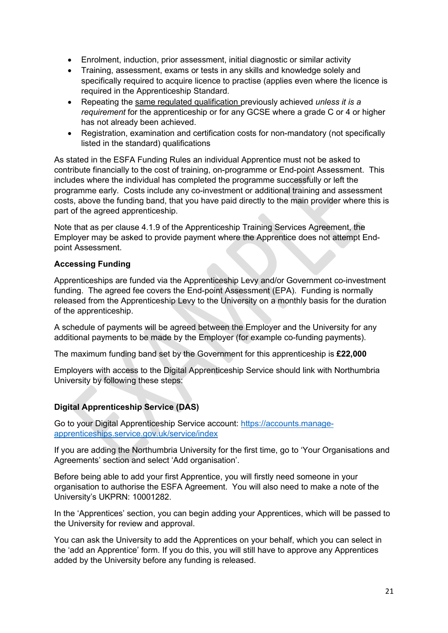- Enrolment, induction, prior assessment, initial diagnostic or similar activity
- Training, assessment, exams or tests in any skills and knowledge solely and specifically required to acquire licence to practise (applies even where the licence is required in the Apprenticeship Standard.
- Repeating the same regulated qualification previously achieved *unless it is a requirement* for the apprenticeship or for any GCSE where a grade C or 4 or higher has not already been achieved.
- Registration, examination and certification costs for non-mandatory (not specifically listed in the standard) qualifications

As stated in the ESFA Funding Rules an individual Apprentice must not be asked to contribute financially to the cost of training, on-programme or End-point Assessment. This includes where the individual has completed the programme successfully or left the programme early. Costs include any co-investment or additional training and assessment costs, above the funding band, that you have paid directly to the main provider where this is part of the agreed apprenticeship.

Note that as per clause 4.1.9 of the Apprenticeship Training Services Agreement, the Employer may be asked to provide payment where the Apprentice does not attempt Endpoint Assessment.

#### **Accessing Funding**

Apprenticeships are funded via the Apprenticeship Levy and/or Government co-investment funding. The agreed fee covers the End-point Assessment (EPA). Funding is normally released from the Apprenticeship Levy to the University on a monthly basis for the duration of the apprenticeship.

A schedule of payments will be agreed between the Employer and the University for any additional payments to be made by the Employer (for example co-funding payments).

The maximum funding band set by the Government for this apprenticeship is **£22,000**

Employers with access to the Digital Apprenticeship Service should link with Northumbria University by following these steps:

#### **Digital Apprenticeship Service (DAS)**

Go to your Digital Apprenticeship Service account: [https://accounts.manage](https://eur02.safelinks.protection.outlook.com/?url=https%3A%2F%2Faccounts.manage-apprenticeships.service.gov.uk%2Fservice%2Findex&data=02%7C01%7Ckerry.douglas%40northumbria.ac.uk%7C9f2326d1e4264434a8a608d83f9291c8%7Ce757cfdd1f354457af8f7c9c6b1437e3%7C0%7C0%7C637329246039410644&sdata=Jw0P7AaTkWBPa%2BAHnKgI4aMa7lHNJt%2FoEzlod83%2F398%3D&reserved=0)[apprenticeships.service.gov.uk/service/index](https://eur02.safelinks.protection.outlook.com/?url=https%3A%2F%2Faccounts.manage-apprenticeships.service.gov.uk%2Fservice%2Findex&data=02%7C01%7Ckerry.douglas%40northumbria.ac.uk%7C9f2326d1e4264434a8a608d83f9291c8%7Ce757cfdd1f354457af8f7c9c6b1437e3%7C0%7C0%7C637329246039410644&sdata=Jw0P7AaTkWBPa%2BAHnKgI4aMa7lHNJt%2FoEzlod83%2F398%3D&reserved=0)

If you are adding the Northumbria University for the first time, go to 'Your Organisations and Agreements' section and select 'Add organisation'.

Before being able to add your first Apprentice, you will firstly need someone in your organisation to authorise the ESFA Agreement. You will also need to make a note of the University's UKPRN: 10001282.

In the 'Apprentices' section, you can begin adding your Apprentices, which will be passed to the University for review and approval.

You can ask the University to add the Apprentices on your behalf, which you can select in the 'add an Apprentice' form. If you do this, you will still have to approve any Apprentices added by the University before any funding is released.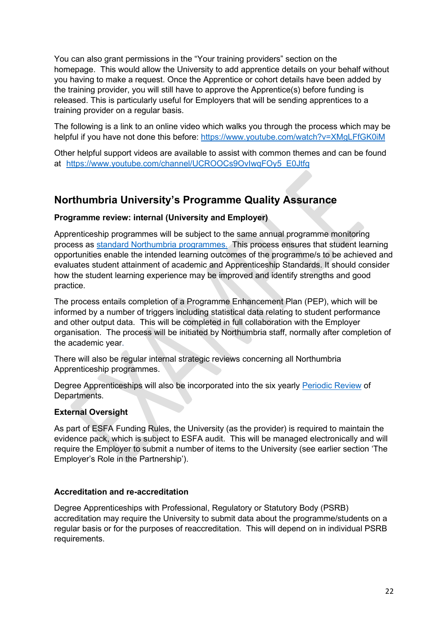You can also grant permissions in the "Your training providers" section on the homepage. This would allow the University to add apprentice details on your behalf without you having to make a request. Once the Apprentice or cohort details have been added by the training provider, you will still have to approve the Apprentice(s) before funding is released. This is particularly useful for Employers that will be sending apprentices to a training provider on a regular basis.

The following is a link to an online video which walks you through the process which may be helpful if you have not done this before: [https://www.youtube.com/watch?v=XMgLFfGK0iM](https://eur02.safelinks.protection.outlook.com/?url=https%3A%2F%2Fwww.youtube.com%2Fwatch%3Fv%3DXMgLFfGK0iM&data=02%7C01%7Ckerry.douglas%40northumbria.ac.uk%7C9f2326d1e4264434a8a608d83f9291c8%7Ce757cfdd1f354457af8f7c9c6b1437e3%7C0%7C0%7C637329246039420638&sdata=aJjtnPyA4h0G4xSw9te7Y88Z6DGi5sQ%2FEt6F57UfUNk%3D&reserved=0)

Other helpful support videos are available to assist with common themes and can be found at [https://www.youtube.com/channel/UCROOCs9OvIwqFOy5\\_E0Jtfg](https://eur02.safelinks.protection.outlook.com/?url=https%3A%2F%2Fwww.youtube.com%2Fchannel%2FUCROOCs9OvIwqFOy5_E0Jtfg&data=02%7C01%7Ckerry.douglas%40northumbria.ac.uk%7C9f2326d1e4264434a8a608d83f9291c8%7Ce757cfdd1f354457af8f7c9c6b1437e3%7C0%7C0%7C637329246039420638&sdata=XKB2%2Fv6fffkGy4OxOAEi2EwJnyIvR6cIWcerBbQMegw%3D&reserved=0)

# <span id="page-21-0"></span>**Northumbria University's Programme Quality Assurance**

#### **Programme review: internal (University and Employer)**

Apprenticeship programmes will be subject to the same annual programme monitoring process as [standard Northumbria](https://www.northumbria.ac.uk/about-us/university-services/academic-registry/quality-and-teaching-excellence/monitoring-and-review/) programmes. This process ensures that student learning opportunities enable the intended learning outcomes of the programme/s to be achieved and evaluates student attainment of academic and Apprenticeship Standards. It should consider how the student learning experience may be improved and identify strengths and good practice.

The process entails completion of a Programme Enhancement Plan (PEP), which will be informed by a number of triggers including statistical data relating to student performance and other output data. This will be completed in full collaboration with the Employer organisation. The process will be initiated by Northumbria staff, normally after completion of the academic year.

There will also be regular internal strategic reviews concerning all Northumbria Apprenticeship programmes.

Degree Apprenticeships will also be incorporated into the six yearly [Periodic Review](https://www.northumbria.ac.uk/about-us/university-services/academic-registry/quality-and-teaching-excellence/monitoring-and-review/) of Departments.

#### **External Oversight**

As part of ESFA Funding Rules, the University (as the provider) is required to maintain the evidence pack, which is subject to ESFA audit. This will be managed electronically and will require the Employer to submit a number of items to the University (see earlier section 'The Employer's Role in the Partnership').

#### **Accreditation and re-accreditation**

Degree Apprenticeships with Professional, Regulatory or Statutory Body (PSRB) accreditation may require the University to submit data about the programme/students on a regular basis or for the purposes of reaccreditation. This will depend on in individual PSRB requirements.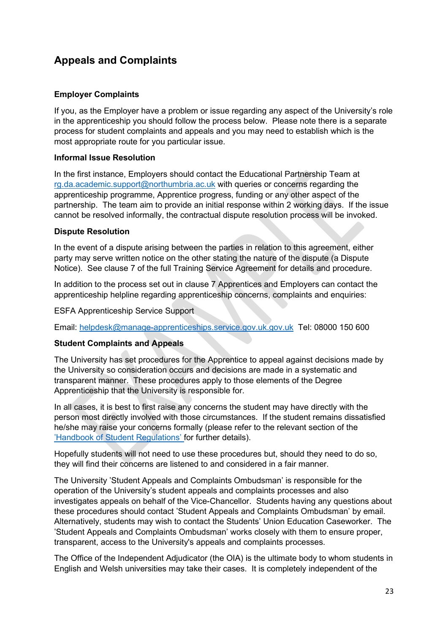# <span id="page-22-0"></span>**Appeals and Complaints**

#### **Employer Complaints**

If you, as the Employer have a problem or issue regarding any aspect of the University's role in the apprenticeship you should follow the process below. Please note there is a separate process for student complaints and appeals and you may need to establish which is the most appropriate route for you particular issue.

#### **Informal Issue Resolution**

In the first instance, Employers should contact the Educational Partnership Team at [rg.da.academic.support@northumbria.ac.uk](mailto:rg.da.academic.support@northumbria.ac.uk) with queries or concerns regarding the apprenticeship programme, Apprentice progress, funding or any other aspect of the partnership. The team aim to provide an initial response within 2 working days. If the issue cannot be resolved informally, the contractual dispute resolution process will be invoked.

#### **Dispute Resolution**

In the event of a dispute arising between the parties in relation to this agreement, either party may serve written notice on the other stating the nature of the dispute (a Dispute Notice). See clause 7 of the full Training Service Agreement for details and procedure.

In addition to the process set out in clause 7 Apprentices and Employers can contact the apprenticeship helpline regarding apprenticeship concerns, complaints and enquiries:

ESFA Apprenticeship Service Support

Email: [helpdesk@manage-apprenticeships.service.gov.uk.gov.uk](mailto:helpdesk@manage-apprenticeships.service.gov.uk.gov.uk) Tel: 08000 150 600

#### **Student Complaints and Appeals**

The University has set procedures for the Apprentice to appeal against decisions made by the University so consideration occurs and decisions are made in a systematic and transparent manner. These procedures apply to those elements of the Degree Apprenticeship that the University is responsible for.

In all cases, it is best to first raise any concerns the student may have directly with the person most directly involved with those circumstances. If the student remains dissatisfied he/she may raise your concerns formally (please refer to the relevant section of the '[Handbook of Student](https://northumbria-cdn.azureedge.net/-/media/corporate-website/new-sitecore-gallery/services/vco/documents/pdf/handbook-of-student-regulations/student-regulations-2020-21/hosr-202021-taught-final.pdf?modified=20200727195836) Regulations' for further details).

Hopefully students will not need to use these procedures but, should they need to do so, they will find their concerns are listened to and considered in a fair manner.

The University 'Student Appeals and Complaints Ombudsman' is responsible for the operation of the University's student appeals and complaints processes and also investigates appeals on behalf of the Vice-Chancellor. Students having any questions about these procedures should contact 'Student Appeals and Complaints Ombudsman' by email. Alternatively, students may wish to contact the Students' Union Education Caseworker. The 'Student Appeals and Complaints Ombudsman' works closely with them to ensure proper, transparent, access to the University's appeals and complaints processes.

The Office of the Independent Adjudicator (the OIA) is the ultimate body to whom students in English and Welsh universities may take their cases. It is completely independent of the